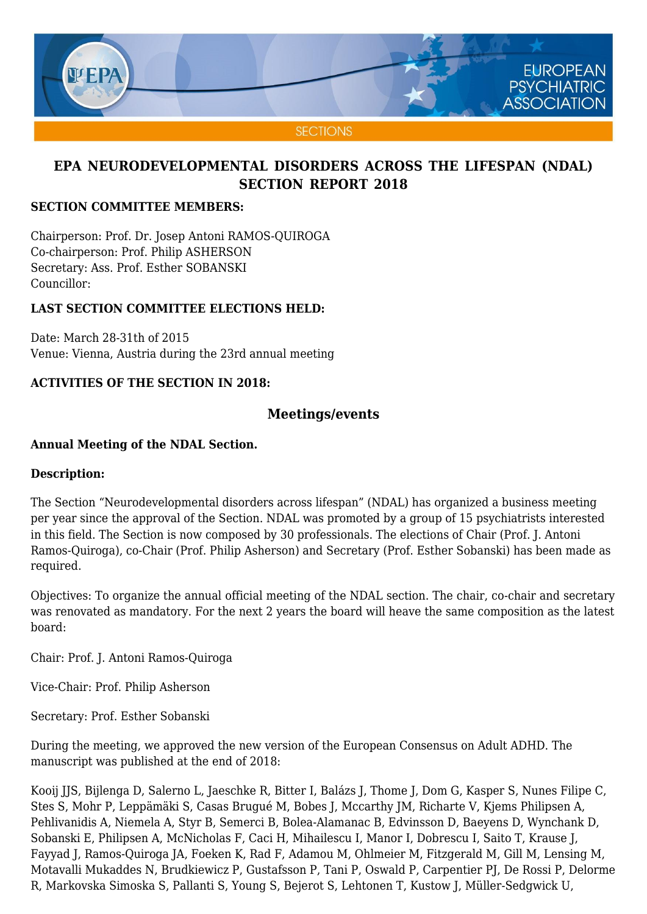

### **SECTION COMMITTEE MEMBERS:**

Chairperson: Prof. Dr. Josep Antoni RAMOS-QUIROGA Co-chairperson: Prof. Philip ASHERSON Secretary: Ass. Prof. Esther SOBANSKI Councillor:

### **LAST SECTION COMMITTEE ELECTIONS HELD:**

Date: March 28-31th of 2015 Venue: Vienna, Austria during the 23rd annual meeting

## **ACTIVITIES OF THE SECTION IN 2018:**

## **Meetings/events**

### **Annual Meeting of the NDAL Section.**

### **Description:**

The Section "Neurodevelopmental disorders across lifespan" (NDAL) has organized a business meeting per year since the approval of the Section. NDAL was promoted by a group of 15 psychiatrists interested in this field. The Section is now composed by 30 professionals. The elections of Chair (Prof. J. Antoni Ramos-Quiroga), co-Chair (Prof. Philip Asherson) and Secretary (Prof. Esther Sobanski) has been made as required.

Objectives: To organize the annual official meeting of the NDAL section. The chair, co-chair and secretary was renovated as mandatory. For the next 2 years the board will heave the same composition as the latest board:

Chair: Prof. J. Antoni Ramos-Quiroga

Vice-Chair: Prof. Philip Asherson

Secretary: Prof. Esther Sobanski

During the meeting, we approved the new version of the European Consensus on Adult ADHD. The manuscript was published at the end of 2018:

Kooij JJS, Bijlenga D, Salerno L, Jaeschke R, Bitter I, Balázs J, Thome J, Dom G, Kasper S, Nunes Filipe C, Stes S, Mohr P, Leppämäki S, Casas Brugué M, Bobes J, Mccarthy JM, Richarte V, Kjems Philipsen A, Pehlivanidis A, Niemela A, Styr B, Semerci B, Bolea-Alamanac B, Edvinsson D, Baeyens D, Wynchank D, Sobanski E, Philipsen A, McNicholas F, Caci H, Mihailescu I, Manor I, Dobrescu I, Saito T, Krause J, Fayyad J, Ramos-Quiroga JA, Foeken K, Rad F, Adamou M, Ohlmeier M, Fitzgerald M, Gill M, Lensing M, Motavalli Mukaddes N, Brudkiewicz P, Gustafsson P, Tani P, Oswald P, Carpentier PJ, De Rossi P, Delorme R, Markovska Simoska S, Pallanti S, Young S, Bejerot S, Lehtonen T, Kustow J, Müller-Sedgwick U,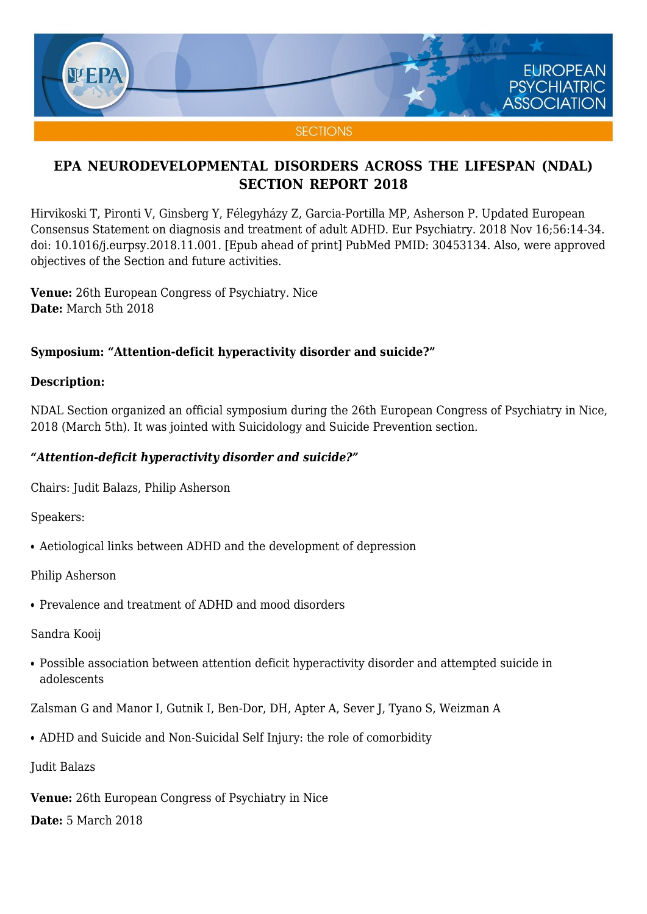

Hirvikoski T, Pironti V, Ginsberg Y, Félegyházy Z, Garcia-Portilla MP, Asherson P. Updated European Consensus Statement on diagnosis and treatment of adult ADHD. Eur Psychiatry. 2018 Nov 16;56:14-34. doi: 10.1016/j.eurpsy.2018.11.001. [Epub ahead of print] PubMed PMID: 30453134. Also, were approved objectives of the Section and future activities.

**Venue:** 26th European Congress of Psychiatry. Nice **Date:** March 5th 2018

### **Symposium: "Attention-deficit hyperactivity disorder and suicide?"**

### **Description:**

NDAL Section organized an official symposium during the 26th European Congress of Psychiatry in Nice, 2018 (March 5th). It was jointed with Suicidology and Suicide Prevention section.

### *"Attention-deficit hyperactivity disorder and suicide?"*

Chairs: Judit Balazs, Philip Asherson

Speakers:

• Aetiological links between ADHD and the development of depression

Philip Asherson

• Prevalence and treatment of ADHD and mood disorders

Sandra Kooij

• Possible association between attention deficit hyperactivity disorder and attempted suicide in adolescents

Zalsman G and Manor I, Gutnik I, Ben-Dor, DH, Apter A, Sever J, Tyano S, Weizman A

• ADHD and Suicide and Non-Suicidal Self Injury: the role of comorbidity

Judit Balazs

**Venue:** 26th European Congress of Psychiatry in Nice

**Date:** 5 March 2018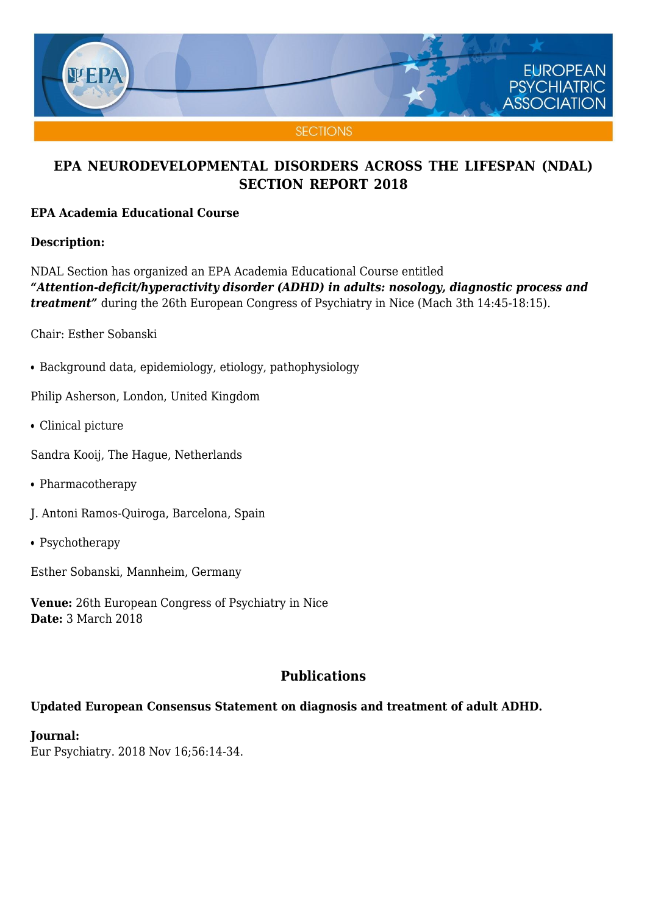

### **EPA Academia Educational Course**

### **Description:**

NDAL Section has organized an EPA Academia Educational Course entitled *"Attention-deficit/hyperactivity disorder (ADHD) in adults: nosology, diagnostic process and treatment"* during the 26th European Congress of Psychiatry in Nice (Mach 3th 14:45-18:15).

Chair: Esther Sobanski

• Background data, epidemiology, etiology, pathophysiology

Philip Asherson, London, United Kingdom

- Clinical picture
- Sandra Kooij, The Hague, Netherlands
- Pharmacotherapy
- J. Antoni Ramos-Quiroga, Barcelona, Spain
- Psychotherapy

Esther Sobanski, Mannheim, Germany

**Venue:** 26th European Congress of Psychiatry in Nice **Date:** 3 March 2018

# **Publications**

### **Updated European Consensus Statement on diagnosis and treatment of adult ADHD.**

**Journal:** Eur Psychiatry. 2018 Nov 16;56:14-34.